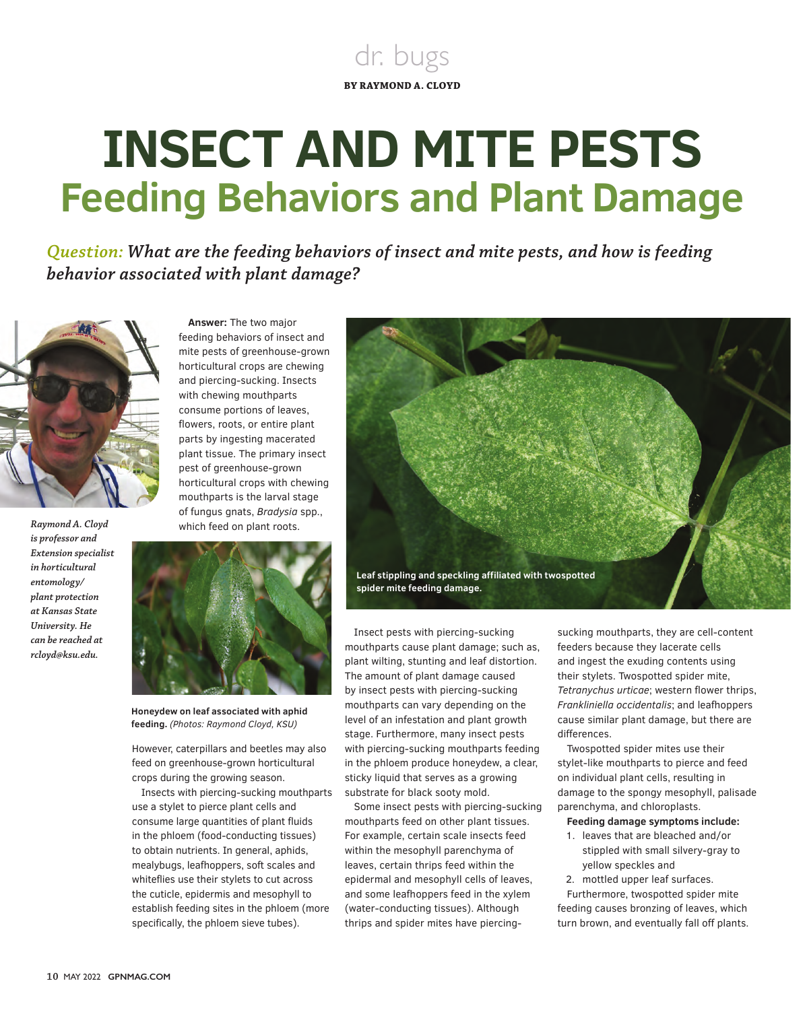## dr. bugs **BY RAYMOND A. CLOYD**

## **INSECT AND MITE PESTS Feeding Behaviors and Plant Damage**

*Question: What are the feeding behaviors of insect and mite pests, and how is feeding behavior associated with plant damage?* 



*Raymond A. Cloyd is professor and Extension specialist in horticultural entomology/ plant protection at Kansas State University. He can be reached at rcloyd@ksu.edu.*



**Answer:** The two major feeding behaviors of insect and mite pests of greenhouse-grown



**Honeydew on leaf associated with aphid feeding.** *(Photos: Raymond Cloyd, KSU)*

However, caterpillars and beetles may also feed on greenhouse-grown horticultural crops during the growing season.

Insects with piercing-sucking mouthparts use a stylet to pierce plant cells and consume large quantities of plant fluids in the phloem (food-conducting tissues) to obtain nutrients. In general, aphids, mealybugs, leafhoppers, soft scales and whiteflies use their stylets to cut across the cuticle, epidermis and mesophyll to establish feeding sites in the phloem (more specifically, the phloem sieve tubes).



Insect pests with piercing-sucking mouthparts cause plant damage; such as, plant wilting, stunting and leaf distortion. The amount of plant damage caused by insect pests with piercing-sucking mouthparts can vary depending on the level of an infestation and plant growth stage. Furthermore, many insect pests with piercing-sucking mouthparts feeding in the phloem produce honeydew, a clear, sticky liquid that serves as a growing substrate for black sooty mold.

Some insect pests with piercing-sucking mouthparts feed on other plant tissues. For example, certain scale insects feed within the mesophyll parenchyma of leaves, certain thrips feed within the epidermal and mesophyll cells of leaves, and some leafhoppers feed in the xylem (water-conducting tissues). Although thrips and spider mites have piercing-

sucking mouthparts, they are cell-content feeders because they lacerate cells and ingest the exuding contents using their stylets. Twospotted spider mite, *Tetranychus urticae*; western flower thrips, *Frankliniella occidentalis*; and leafhoppers cause similar plant damage, but there are differences.

Twospotted spider mites use their stylet-like mouthparts to pierce and feed on individual plant cells, resulting in damage to the spongy mesophyll, palisade parenchyma, and chloroplasts.

**Feeding damage symptoms include:** 

- 1. leaves that are bleached and/or stippled with small silvery-gray to yellow speckles and
- 2. mottled upper leaf surfaces.

Furthermore, twospotted spider mite feeding causes bronzing of leaves, which turn brown, and eventually fall off plants.